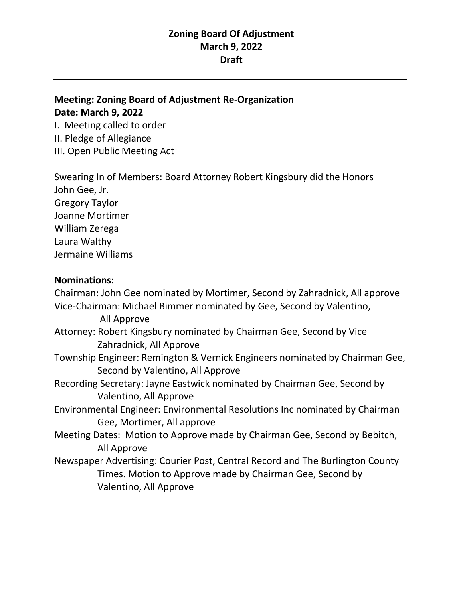## **Zoning Board Of Adjustment March 9, 2022 Draft**

## **Meeting: Zoning Board of Adjustment Re-Organization Date: March 9, 2022**

I. Meeting called to order II. Pledge of Allegiance III. Open Public Meeting Act

Swearing In of Members: Board Attorney Robert Kingsbury did the Honors John Gee, Jr. Gregory Taylor Joanne Mortimer William Zerega Laura Walthy Jermaine Williams

## **Nominations:**

Chairman: John Gee nominated by Mortimer, Second by Zahradnick, All approve Vice-Chairman: Michael Bimmer nominated by Gee, Second by Valentino, All Approve Attorney: Robert Kingsbury nominated by Chairman Gee, Second by Vice Zahradnick, All Approve Township Engineer: Remington & Vernick Engineers nominated by Chairman Gee, Second by Valentino, All Approve Recording Secretary: Jayne Eastwick nominated by Chairman Gee, Second by Valentino, All Approve Environmental Engineer: Environmental Resolutions Inc nominated by Chairman Gee, Mortimer, All approve Meeting Dates: Motion to Approve made by Chairman Gee, Second by Bebitch, All Approve Newspaper Advertising: Courier Post, Central Record and The Burlington County Times. Motion to Approve made by Chairman Gee, Second by Valentino, All Approve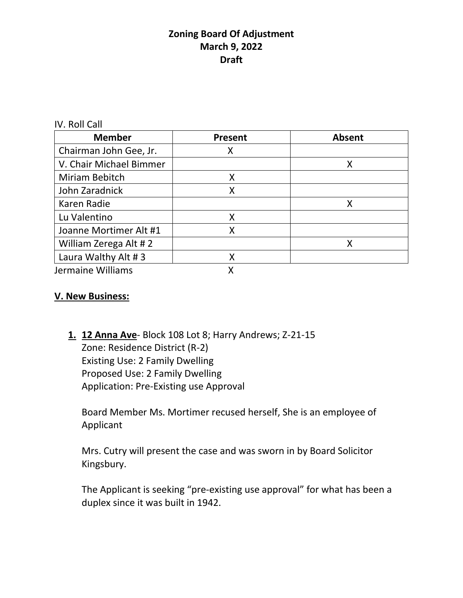## **Zoning Board Of Adjustment March 9, 2022 Draft**

IV. Roll Call

| <b>Member</b>           | Present | <b>Absent</b> |
|-------------------------|---------|---------------|
| Chairman John Gee, Jr.  | Χ       |               |
| V. Chair Michael Bimmer |         | Χ             |
| Miriam Bebitch          | Χ       |               |
| John Zaradnick          | X       |               |
| Karen Radie             |         | Χ             |
| Lu Valentino            | Χ       |               |
| Joanne Mortimer Alt #1  | Χ       |               |
| William Zerega Alt #2   |         |               |
| Laura Walthy Alt #3     | Χ       |               |
| Jermaine Williams       |         |               |

## **V. New Business:**

**1. 12 Anna Ave**- Block 108 Lot 8; Harry Andrews; Z-21-15 Zone: Residence District (R-2) Existing Use: 2 Family Dwelling Proposed Use: 2 Family Dwelling Application: Pre-Existing use Approval

Board Member Ms. Mortimer recused herself, She is an employee of Applicant

Mrs. Cutry will present the case and was sworn in by Board Solicitor Kingsbury.

The Applicant is seeking "pre-existing use approval" for what has been a duplex since it was built in 1942.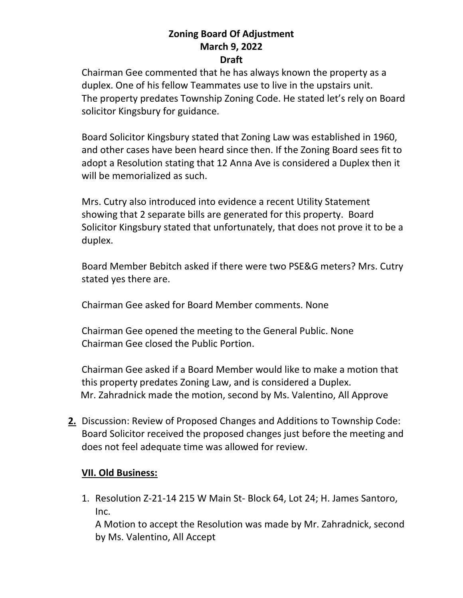# **Zoning Board Of Adjustment March 9, 2022**

#### **Draft**

Chairman Gee commented that he has always known the property as a duplex. One of his fellow Teammates use to live in the upstairs unit. The property predates Township Zoning Code. He stated let's rely on Board solicitor Kingsbury for guidance.

Board Solicitor Kingsbury stated that Zoning Law was established in 1960, and other cases have been heard since then. If the Zoning Board sees fit to adopt a Resolution stating that 12 Anna Ave is considered a Duplex then it will be memorialized as such.

Mrs. Cutry also introduced into evidence a recent Utility Statement showing that 2 separate bills are generated for this property. Board Solicitor Kingsbury stated that unfortunately, that does not prove it to be a duplex.

Board Member Bebitch asked if there were two PSE&G meters? Mrs. Cutry stated yes there are.

Chairman Gee asked for Board Member comments. None

Chairman Gee opened the meeting to the General Public. None Chairman Gee closed the Public Portion.

Chairman Gee asked if a Board Member would like to make a motion that this property predates Zoning Law, and is considered a Duplex. Mr. Zahradnick made the motion, second by Ms. Valentino, All Approve

**2.** Discussion: Review of Proposed Changes and Additions to Township Code: Board Solicitor received the proposed changes just before the meeting and does not feel adequate time was allowed for review.

#### **VII. Old Business:**

1. Resolution Z-21-14 215 W Main St- Block 64, Lot 24; H. James Santoro, Inc.

A Motion to accept the Resolution was made by Mr. Zahradnick, second by Ms. Valentino, All Accept